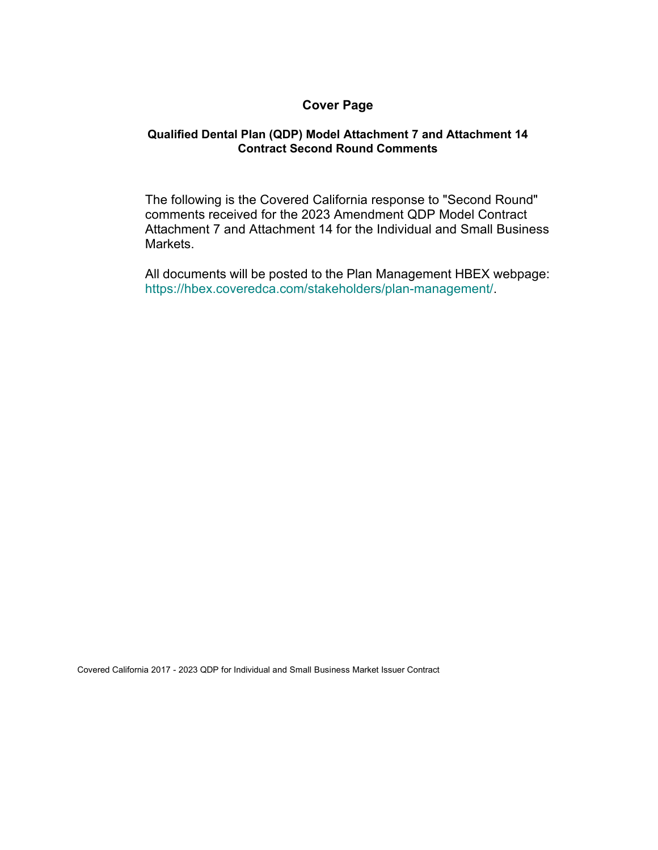## **Cover Page**

## **Qualified Dental Plan (QDP) Model Attachment 7 and Attachment 14 Contract Second Round Comments**

The following is the Covered California response to "Second Round" comments received for the 2023 Amendment QDP Model Contract Attachment 7 and Attachment 14 for the Individual and Small Business Markets.

All documents will be posted to the Plan Management HBEX webpage: https://hbex.coveredca.com/stakeholders/plan-management/.

Covered California 2017 - 2023 QDP for Individual and Small Business Market Issuer Contract